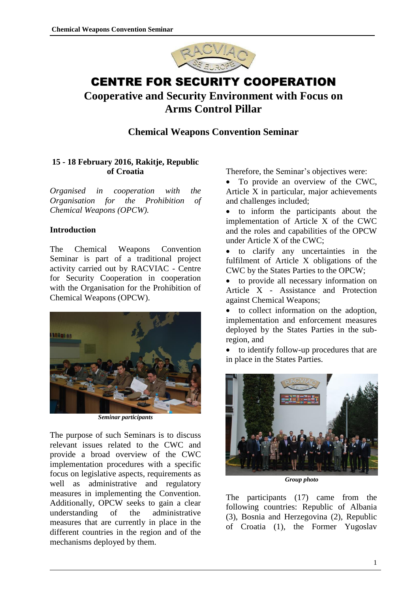

# CENTRE FOR SECURITY COOPERATION **Cooperative and Security Environment with Focus on**

# **Arms Control Pillar**

# **Chemical Weapons Convention Seminar**

### **15 - 18 February 2016, Rakitje, Republic of Croatia**

*Organised in cooperation with the Organisation for the Prohibition of Chemical Weapons (OPCW).*

#### **Introduction**

The Chemical Weapons Convention Seminar is part of a traditional project activity carried out by RACVIAC - Centre for Security Cooperation in cooperation with the Organisation for the Prohibition of Chemical Weapons (OPCW).



*Seminar participants*

The purpose of such Seminars is to discuss relevant issues related to the CWC and provide a broad overview of the CWC implementation procedures with a specific focus on legislative aspects, requirements as well as administrative and regulatory measures in implementing the Convention. Additionally, OPCW seeks to gain a clear understanding of the administrative measures that are currently in place in the different countries in the region and of the mechanisms deployed by them.

Therefore, the Seminar's objectives were:

• To provide an overview of the CWC. Article X in particular, major achievements and challenges included;

 to inform the participants about the implementation of Article X of the CWC and the roles and capabilities of the OPCW under Article X of the CWC;

 to clarify any uncertainties in the fulfilment of Article X obligations of the CWC by the States Parties to the OPCW;

 to provide all necessary information on Article X - Assistance and Protection against Chemical Weapons;

 to collect information on the adoption, implementation and enforcement measures deployed by the States Parties in the subregion, and

 to identify follow-up procedures that are in place in the States Parties.



*Group photo*

The participants (17) came from the following countries: Republic of Albania (3), Bosnia and Herzegovina (2), Republic of Croatia (1), the Former Yugoslav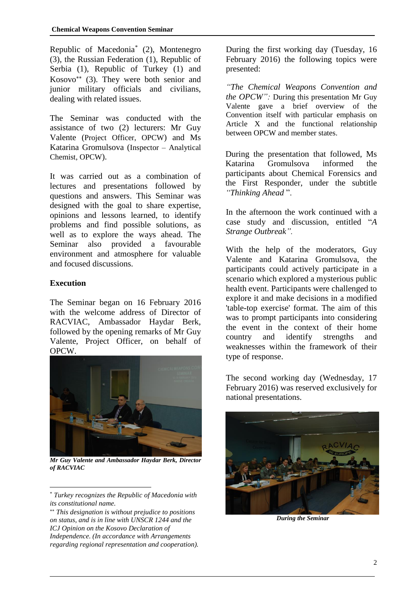Republic of Macedonia\* (2), Montenegro (3), the Russian Federation (1), Republic of Serbia (1), Republic of Turkey (1) and Kosovo (3). They were both senior and junior military officials and civilians, dealing with related issues.

The Seminar was conducted with the assistance of two (2) lecturers: Mr Guy Valente (Project Officer, OPCW) and Ms Katarina Gromulsova (Inspector – Analytical Chemist, OPCW).

It was carried out as a combination of lectures and presentations followed by questions and answers. This Seminar was designed with the goal to share expertise, opinions and lessons learned, to identify problems and find possible solutions, as well as to explore the ways ahead. The Seminar also provided a favourable environment and atmosphere for valuable and focused discussions.

#### **Execution**

 $\overline{a}$ 

The Seminar began on 16 February 2016 with the welcome address of Director of RACVIAC, Ambassador Haydar Berk, followed by the opening remarks of Mr Guy Valente, Project Officer, on behalf of OPCW.



*Mr Guy Valente and Ambassador Haydar Berk, Director of RACVIAC*

During the first working day (Tuesday, 16 February 2016) the following topics were presented:

*"The Chemical Weapons Convention and the OPCW":* During this presentation Mr Guy Valente gave a brief overview of the Convention itself with particular emphasis on Article X and the functional relationship between OPCW and member states.

During the presentation that followed, Ms Katarina Gromulsova informed the participants about Chemical Forensics and the First Responder, under the subtitle *"Thinking Ahead* ".

In the afternoon the work continued with a case study and discussion, entitled "*A Strange Outbreak".*

With the help of the moderators, Guy Valente and Katarina Gromulsova, the participants could actively participate in a scenario which explored a mysterious public health event. Participants were challenged to explore it and make decisions in a modified 'table-top exercise' format. The aim of this was to prompt participants into considering the event in the context of their home country and identify strengths and weaknesses within the framework of their type of response.

The second working day (Wednesday, 17 February 2016) was reserved exclusively for national presentations.



*During the Seminar*

<sup>\*</sup> *Turkey recognizes the Republic of Macedonia with its constitutional name.*

*This designation is without prejudice to positions on status, and is in line with UNSCR 1244 and the ICJ Opinion on the Kosovo Declaration of Independence. (In accordance with Arrangements regarding regional representation and cooperation).*